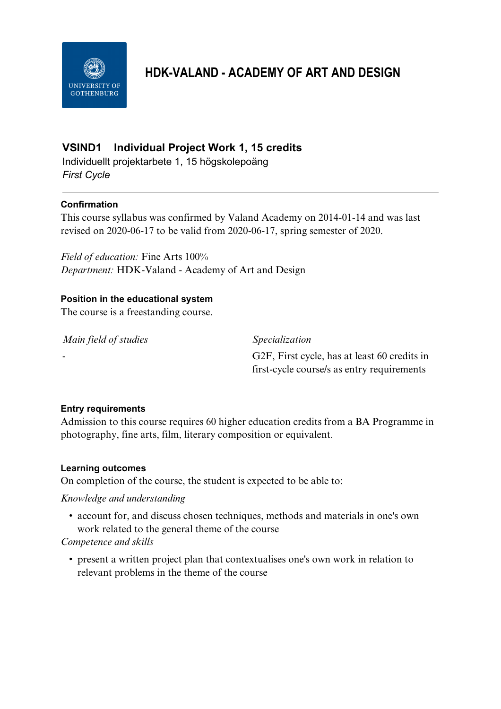

# **HDK-VALAND - ACADEMY OF ART AND DESIGN**

## **VSIND1 Individual Project Work 1, 15 credits**

Individuellt projektarbete 1, 15 högskolepoäng *First Cycle*

## **Confirmation**

This course syllabus was confirmed by Valand Academy on 2014-01-14 and was last revised on 2020-06-17 to be valid from 2020-06-17, spring semester of 2020.

*Field of education:* Fine Arts 100% *Department:* HDK-Valand - Academy of Art and Design

#### **Position in the educational system**

The course is a freestanding course.

*Main field of studies Specialization*

- G2F, First cycle, has at least 60 credits in first-cycle course/s as entry requirements

#### **Entry requirements**

Admission to this course requires 60 higher education credits from a BA Programme in photography, fine arts, film, literary composition or equivalent.

#### **Learning outcomes**

On completion of the course, the student is expected to be able to:

## *Knowledge and understanding*

• account for, and discuss chosen techniques, methods and materials in one's own work related to the general theme of the course

#### *Competence and skills*

• present a written project plan that contextualises one's own work in relation to relevant problems in the theme of the course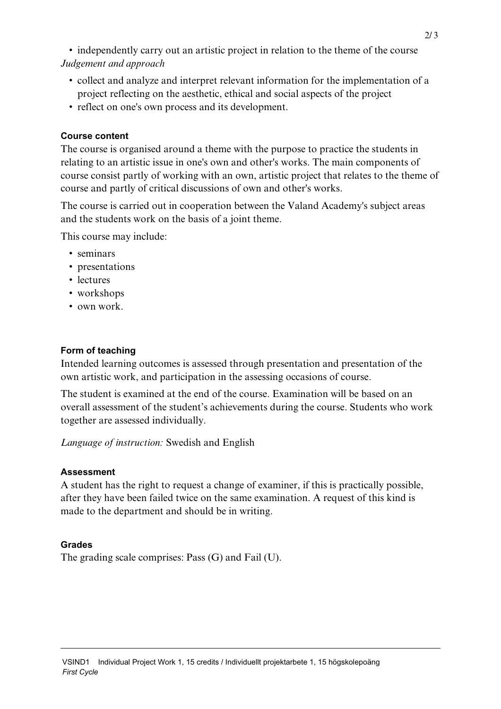• independently carry out an artistic project in relation to the theme of the course *Judgement and approach*

- collect and analyze and interpret relevant information for the implementation of a project reflecting on the aesthetic, ethical and social aspects of the project
- reflect on one's own process and its development.

#### **Course content**

The course is organised around a theme with the purpose to practice the students in relating to an artistic issue in one's own and other's works. The main components of course consist partly of working with an own, artistic project that relates to the theme of course and partly of critical discussions of own and other's works.

The course is carried out in cooperation between the Valand Academy's subject areas and the students work on the basis of a joint theme.

This course may include:

- seminars
- presentations
- lectures
- workshops
- own work.

#### **Form of teaching**

Intended learning outcomes is assessed through presentation and presentation of the own artistic work, and participation in the assessing occasions of course.

The student is examined at the end of the course. Examination will be based on an overall assessment of the student's achievements during the course. Students who work together are assessed individually.

*Language of instruction:* Swedish and English

## **Assessment**

A student has the right to request a change of examiner, if this is practically possible, after they have been failed twice on the same examination. A request of this kind is made to the department and should be in writing.

## **Grades**

The grading scale comprises: Pass (G) and Fail (U).